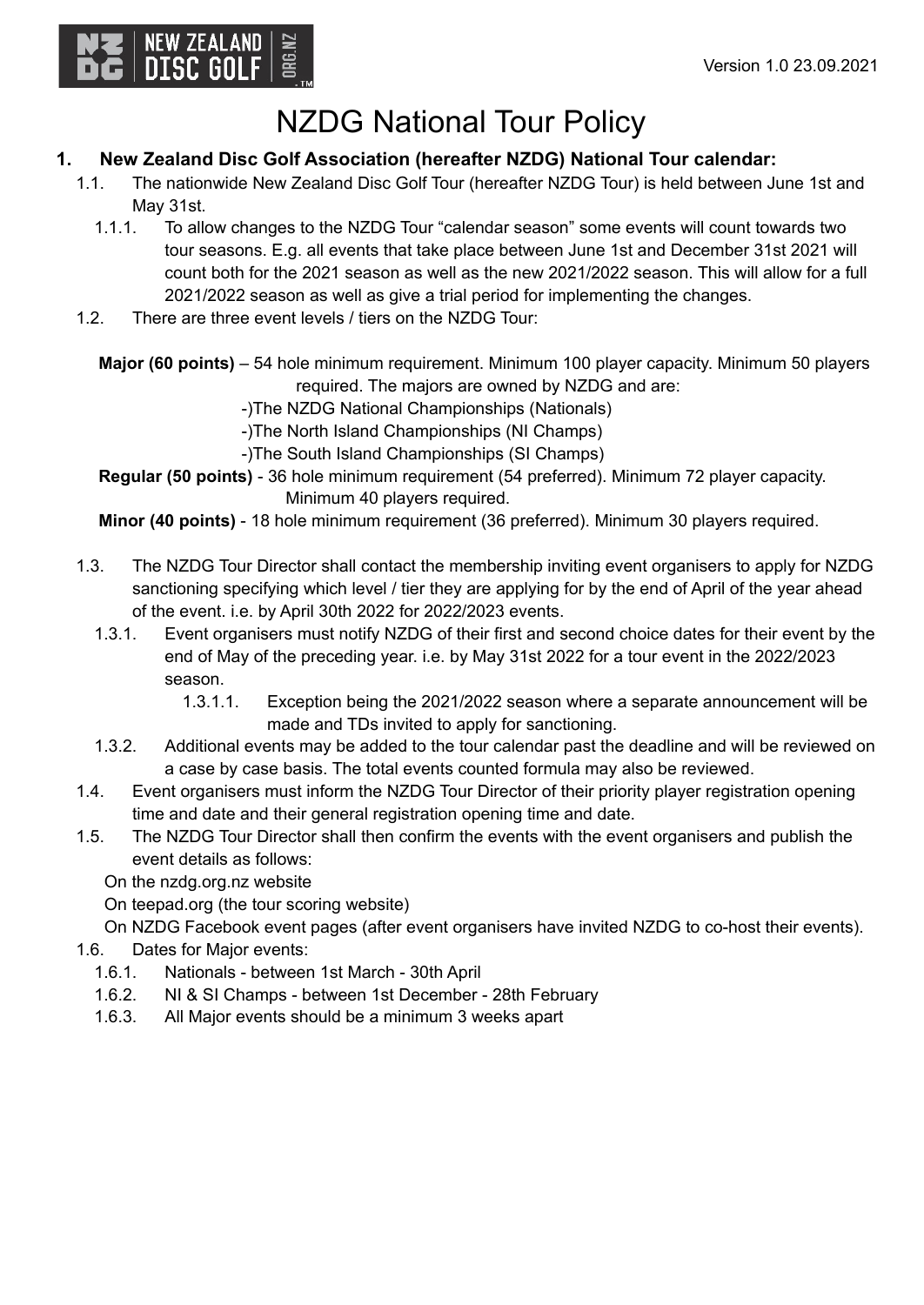

# NZDG National Tour Policy

## **1. New Zealand Disc Golf Association (hereafter NZDG) National Tour calendar:**

- 1.1. The nationwide New Zealand Disc Golf Tour (hereafter NZDG Tour) is held between June 1st and May 31st.
	- 1.1.1. To allow changes to the NZDG Tour "calendar season" some events will count towards two tour seasons. E.g. all events that take place between June 1st and December 31st 2021 will count both for the 2021 season as well as the new 2021/2022 season. This will allow for a full 2021/2022 season as well as give a trial period for implementing the changes.
- 1.2. There are three event levels / tiers on the NZDG Tour:

**Major (60 points)** – 54 hole minimum requirement. Minimum 100 player capacity. Minimum 50 players required. The majors are owned by NZDG and are:

- -)The NZDG National Championships (Nationals)
- -)The North Island Championships (NI Champs)
- -)The South Island Championships (SI Champs)

**Regular (50 points)** - 36 hole minimum requirement (54 preferred). Minimum 72 player capacity. Minimum 40 players required.

**Minor (40 points)** - 18 hole minimum requirement (36 preferred). Minimum 30 players required.

- 1.3. The NZDG Tour Director shall contact the membership inviting event organisers to apply for NZDG sanctioning specifying which level / tier they are applying for by the end of April of the year ahead of the event. i.e. by April 30th 2022 for 2022/2023 events.
	- 1.3.1. Event organisers must notify NZDG of their first and second choice dates for their event by the end of May of the preceding year. i.e. by May 31st 2022 for a tour event in the 2022/2023 season.
		- 1.3.1.1. Exception being the 2021/2022 season where a separate announcement will be made and TDs invited to apply for sanctioning.
	- 1.3.2. Additional events may be added to the tour calendar past the deadline and will be reviewed on a case by case basis. The total events counted formula may also be reviewed.
- 1.4. Event organisers must inform the NZDG Tour Director of their priority player registration opening time and date and their general registration opening time and date.
- 1.5. The NZDG Tour Director shall then confirm the events with the event organisers and publish the event details as follows:

On the nzdg.org.nz website

On teepad.org (the tour scoring website)

On NZDG Facebook event pages (after event organisers have invited NZDG to co-host their events).

- 1.6. Dates for Major events:
	- 1.6.1. Nationals between 1st March 30th April
	- 1.6.2. NI & SI Champs between 1st December 28th February
	- 1.6.3. All Major events should be a minimum 3 weeks apart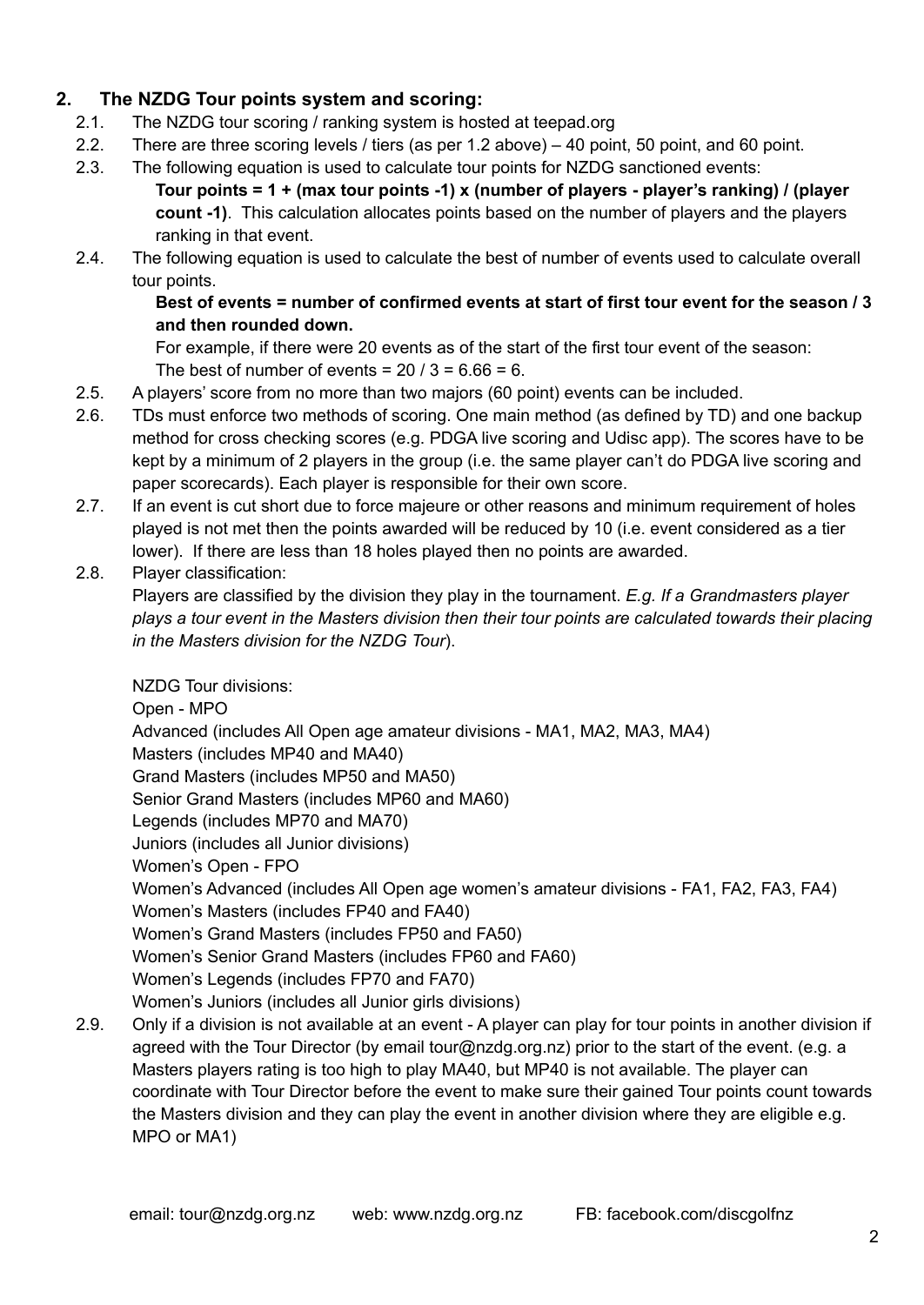## **2. The NZDG Tour points system and scoring:**

- 2.1. The NZDG tour scoring / ranking system is hosted at teepad.org
- 2.2. There are three scoring levels / tiers (as per 1.2 above) 40 point, 50 point, and 60 point.
- 2.3. The following equation is used to calculate tour points for NZDG sanctioned events: **Tour points = 1 + (max tour points -1) x (number of players - player's ranking) / (player count -1)**. This calculation allocates points based on the number of players and the players ranking in that event.
- 2.4. The following equation is used to calculate the best of number of events used to calculate overall tour points.

#### **Best of events = number of confirmed events at start of first tour event for the season / 3 and then rounded down.**

For example, if there were 20 events as of the start of the first tour event of the season: The best of number of events =  $20/3 = 6.66 = 6$ .

- 2.5. A players' score from no more than two majors (60 point) events can be included.
- 2.6. TDs must enforce two methods of scoring. One main method (as defined by TD) and one backup method for cross checking scores (e.g. PDGA live scoring and Udisc app). The scores have to be kept by a minimum of 2 players in the group (i.e. the same player can't do PDGA live scoring and paper scorecards). Each player is responsible for their own score.
- 2.7. If an event is cut short due to force majeure or other reasons and minimum requirement of holes played is not met then the points awarded will be reduced by 10 (i.e. event considered as a tier lower). If there are less than 18 holes played then no points are awarded.
- 2.8. Player classification:

Players are classified by the division they play in the tournament. *E.g. If a Grandmasters player plays a tour event in the Masters division then their tour points are calculated towards their placing in the Masters division for the NZDG Tour*).

NZDG Tour divisions:

Open - MPO Advanced (includes All Open age amateur divisions - MA1, MA2, MA3, MA4) Masters (includes MP40 and MA40) Grand Masters (includes MP50 and MA50) Senior Grand Masters (includes MP60 and MA60) Legends (includes MP70 and MA70) Juniors (includes all Junior divisions) Women's Open - FPO Women's Advanced (includes All Open age women's amateur divisions - FA1, FA2, FA3, FA4) Women's Masters (includes FP40 and FA40) Women's Grand Masters (includes FP50 and FA50) Women's Senior Grand Masters (includes FP60 and FA60) Women's Legends (includes FP70 and FA70) Women's Juniors (includes all Junior girls divisions)

2.9. Only if a division is not available at an event - A player can play for tour points in another division if agreed with the Tour Director (by email tour@nzdg.org.nz) prior to the start of the event. (e.g. a Masters players rating is too high to play MA40, but MP40 is not available. The player can coordinate with Tour Director before the event to make sure their gained Tour points count towards the Masters division and they can play the event in another division where they are eligible e.g. MPO or MA1)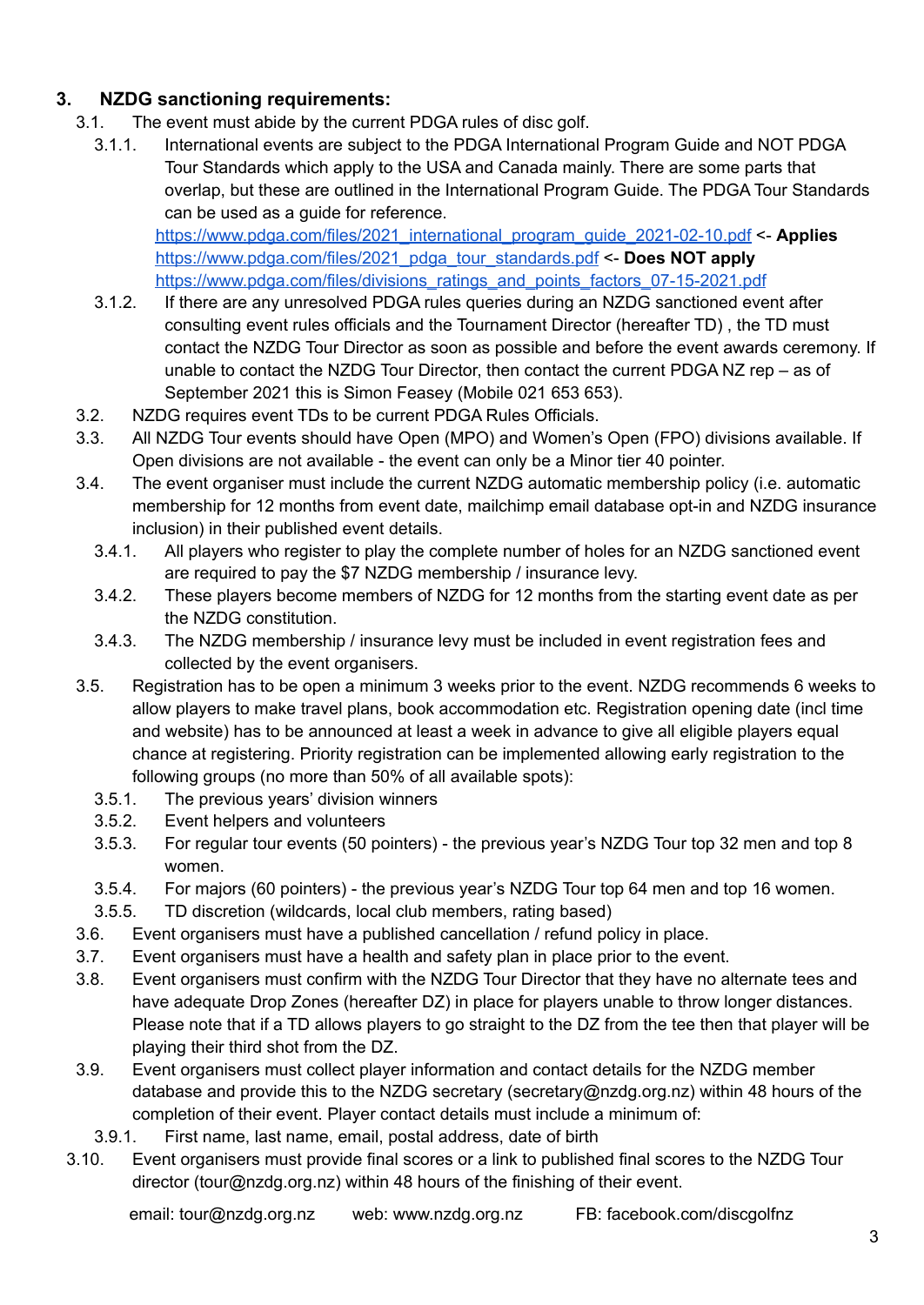## **3. NZDG sanctioning requirements:**

- 3.1. The event must abide by the current PDGA rules of disc golf.
	- 3.1.1. International events are subject to the PDGA International Program Guide and NOT PDGA Tour Standards which apply to the USA and Canada mainly. There are some parts that overlap, but these are outlined in the International Program Guide. The PDGA Tour Standards can be used as a guide for reference.

[https://www.pdga.com/files/2021\\_international\\_program\\_guide\\_2021-02-10.pdf](https://www.pdga.com/files/2021_international_program_guide_2021-02-10.pdf) <- **Applies** [https://www.pdga.com/files/2021\\_pdga\\_tour\\_standards.pdf](https://www.pdga.com/files/2021_pdga_tour_standards.pdf) <- **Does NOT apply** [https://www.pdga.com/files/divisions\\_ratings\\_and\\_points\\_factors\\_07-15-2021.pdf](https://www.pdga.com/files/divisions_ratings_and_points_factors_07-15-2021.pdf)

- 3.1.2. If there are any unresolved PDGA rules queries during an NZDG sanctioned event after consulting event rules officials and the Tournament Director (hereafter TD) , the TD must contact the NZDG Tour Director as soon as possible and before the event awards ceremony. If unable to contact the NZDG Tour Director, then contact the current PDGA NZ rep – as of September 2021 this is Simon Feasey (Mobile 021 653 653).
- 3.2. NZDG requires event TDs to be current PDGA Rules Officials.
- 3.3. All NZDG Tour events should have Open (MPO) and Women's Open (FPO) divisions available. If Open divisions are not available - the event can only be a Minor tier 40 pointer.
- 3.4. The event organiser must include the current NZDG automatic membership policy (i.e. automatic membership for 12 months from event date, mailchimp email database opt-in and NZDG insurance inclusion) in their published event details.
	- 3.4.1. All players who register to play the complete number of holes for an NZDG sanctioned event are required to pay the \$7 NZDG membership / insurance levy.
	- 3.4.2. These players become members of NZDG for 12 months from the starting event date as per the NZDG constitution.
	- 3.4.3. The NZDG membership / insurance levy must be included in event registration fees and collected by the event organisers.
- 3.5. Registration has to be open a minimum 3 weeks prior to the event. NZDG recommends 6 weeks to allow players to make travel plans, book accommodation etc. Registration opening date (incl time and website) has to be announced at least a week in advance to give all eligible players equal chance at registering. Priority registration can be implemented allowing early registration to the following groups (no more than 50% of all available spots):
	- 3.5.1. The previous years' division winners
	- 3.5.2. Event helpers and volunteers
	- 3.5.3. For regular tour events (50 pointers) the previous year's NZDG Tour top 32 men and top 8 women.
	- 3.5.4. For majors (60 pointers) the previous year's NZDG Tour top 64 men and top 16 women.
	- 3.5.5. TD discretion (wildcards, local club members, rating based)
- 3.6. Event organisers must have a published cancellation / refund policy in place.
- 3.7. Event organisers must have a health and safety plan in place prior to the event.
- 3.8. Event organisers must confirm with the NZDG Tour Director that they have no alternate tees and have adequate Drop Zones (hereafter DZ) in place for players unable to throw longer distances. Please note that if a TD allows players to go straight to the DZ from the tee then that player will be playing their third shot from the DZ.
- 3.9. Event organisers must collect player information and contact details for the NZDG member database and provide this to the NZDG secretary (secretary@nzdg.org.nz) within 48 hours of the completion of their event. Player contact details must include a minimum of:
- 3.9.1. First name, last name, email, postal address, date of birth
- 3.10. Event organisers must provide final scores or a link to published final scores to the NZDG Tour director (tour@nzdg.org.nz) within 48 hours of the finishing of their event.